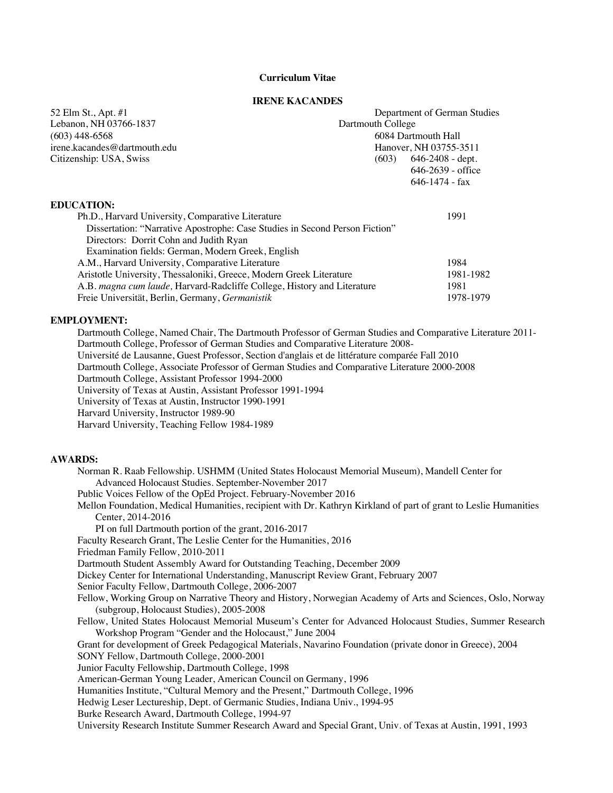## **Curriculum Vitae**

#### **IRENE KACANDES**

| 52 Elm St., Apt. #1                                                         | Department of German Studies |                        |  |
|-----------------------------------------------------------------------------|------------------------------|------------------------|--|
| Lebanon, NH 03766-1837                                                      | Dartmouth College            |                        |  |
| $(603)$ 448-6568                                                            |                              | 6084 Dartmouth Hall    |  |
| irene.kacandes@dartmouth.edu                                                |                              | Hanover, NH 03755-3511 |  |
| Citizenship: USA, Swiss                                                     | (603)                        | $646 - 2408$ - dept.   |  |
|                                                                             |                              | $646 - 2639$ - office  |  |
|                                                                             |                              | $646 - 1474 - fax$     |  |
| <b>EDUCATION:</b>                                                           |                              |                        |  |
| Ph.D., Harvard University, Comparative Literature                           |                              | 1991                   |  |
| Dissertation: "Narrative Apostrophe: Case Studies in Second Person Fiction" |                              |                        |  |
| Directors: Dorrit Cohn and Judith Ryan                                      |                              |                        |  |
| Examination fields: German, Modern Greek, English                           |                              |                        |  |
| A.M., Harvard University, Comparative Literature                            |                              | 1984                   |  |
| Aristotle University, Thessaloniki, Greece, Modern Greek Literature         |                              | 1981-1982              |  |
| A.B. magna cum laude, Harvard-Radcliffe College, History and Literature     |                              | 1981                   |  |
| Freie Universität, Berlin, Germany, Germanistik                             |                              | 1978-1979              |  |

#### **EMPLOYMENT:**

Dartmouth College, Named Chair, The Dartmouth Professor of German Studies and Comparative Literature 2011- Dartmouth College, Professor of German Studies and Comparative Literature 2008-

Université de Lausanne, Guest Professor, Section d'anglais et de littérature comparée Fall 2010

Dartmouth College, Associate Professor of German Studies and Comparative Literature 2000-2008

Dartmouth College, Assistant Professor 1994-2000

University of Texas at Austin, Assistant Professor 1991-1994

University of Texas at Austin, Instructor 1990-1991

Harvard University, Instructor 1989-90

Harvard University, Teaching Fellow 1984-1989

#### **AWARDS:**

Norman R. Raab Fellowship. USHMM (United States Holocaust Memorial Museum), Mandell Center for Advanced Holocaust Studies. September-November 2017 Public Voices Fellow of the OpEd Project. February-November 2016 Mellon Foundation, Medical Humanities, recipient with Dr. Kathryn Kirkland of part of grant to Leslie Humanities Center, 2014-2016 PI on full Dartmouth portion of the grant, 2016-2017 Faculty Research Grant, The Leslie Center for the Humanities, 2016 Friedman Family Fellow, 2010-2011 Dartmouth Student Assembly Award for Outstanding Teaching, December 2009 Dickey Center for International Understanding, Manuscript Review Grant, February 2007 Senior Faculty Fellow, Dartmouth College, 2006-2007 Fellow, Working Group on Narrative Theory and History, Norwegian Academy of Arts and Sciences, Oslo, Norway (subgroup, Holocaust Studies), 2005-2008 Fellow, United States Holocaust Memorial Museum's Center for Advanced Holocaust Studies, Summer Research Workshop Program "Gender and the Holocaust," June 2004 Grant for development of Greek Pedagogical Materials, Navarino Foundation (private donor in Greece), 2004 SONY Fellow, Dartmouth College, 2000-2001 Junior Faculty Fellowship, Dartmouth College, 1998 American-German Young Leader, American Council on Germany, 1996 Humanities Institute, "Cultural Memory and the Present," Dartmouth College, 1996 Hedwig Leser Lectureship, Dept. of Germanic Studies, Indiana Univ., 1994-95 Burke Research Award, Dartmouth College, 1994-97 University Research Institute Summer Research Award and Special Grant, Univ. of Texas at Austin, 1991, 1993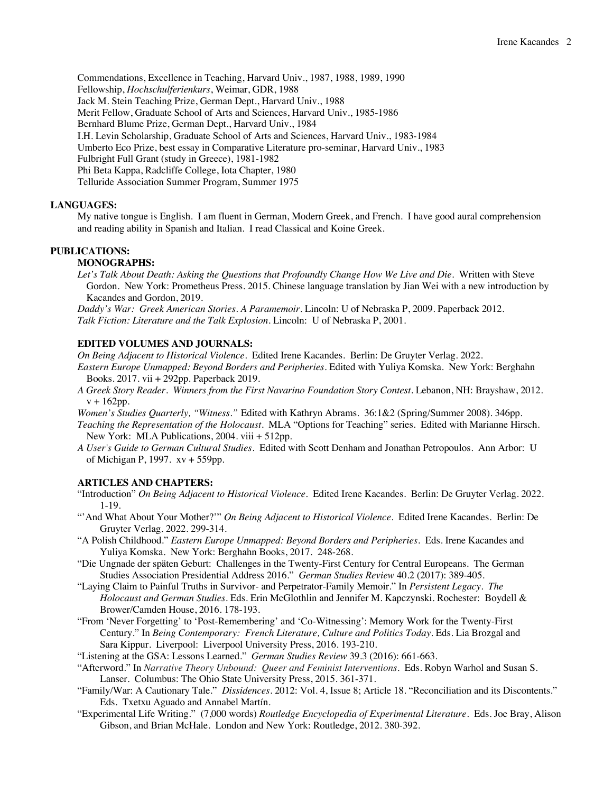Commendations, Excellence in Teaching, Harvard Univ., 1987, 1988, 1989, 1990 Fellowship, *Hochschulferienkurs*, Weimar, GDR, 1988 Jack M. Stein Teaching Prize, German Dept., Harvard Univ., 1988 Merit Fellow, Graduate School of Arts and Sciences, Harvard Univ., 1985-1986 Bernhard Blume Prize, German Dept., Harvard Univ., 1984 I.H. Levin Scholarship, Graduate School of Arts and Sciences, Harvard Univ., 1983-1984 Umberto Eco Prize, best essay in Comparative Literature pro-seminar, Harvard Univ., 1983 Fulbright Full Grant (study in Greece), 1981-1982 Phi Beta Kappa, Radcliffe College, Iota Chapter, 1980 Telluride Association Summer Program, Summer 1975

# **LANGUAGES:**

My native tongue is English. I am fluent in German, Modern Greek, and French. I have good aural comprehension and reading ability in Spanish and Italian. I read Classical and Koine Greek.

# **PUBLICATIONS:**

# **MONOGRAPHS:**

Let's Talk About Death: Asking the Questions that Profoundly Change How We Live and Die. Written with Steve Gordon. New York: Prometheus Press. 2015. Chinese language translation by Jian Wei with a new introduction by Kacandes and Gordon, 2019.

*Daddy's War: Greek American Stories. A Paramemoir*. Lincoln: U of Nebraska P, 2009. Paperback 2012. *Talk Fiction: Literature and the Talk Explosion.* Lincoln: U of Nebraska P, 2001.

### **EDITED VOLUMES AND JOURNALS:**

*On Being Adjacent to Historical Violence.* Edited Irene Kacandes. Berlin: De Gruyter Verlag. 2022.

- *Eastern Europe Unmapped: Beyond Borders and Peripheries.* Edited with Yuliya Komska. New York: Berghahn Books. 2017. vii + 292pp. Paperback 2019.
- *A Greek Story Reader. Winners from the First Navarino Foundation Story Contest.* Lebanon, NH: Brayshaw, 2012.  $v + 162$ pp.

*Women's Studies Quarterly, "Witness."* Edited with Kathryn Abrams. 36:1&2 (Spring/Summer 2008). 346pp.

*Teaching the Representation of the Holocaust*. MLA "Options for Teaching" series. Edited with Marianne Hirsch. New York: MLA Publications, 2004. viii + 512pp.

*A User's Guide to German Cultural Studies.* Edited with Scott Denham and Jonathan Petropoulos. Ann Arbor: U of Michigan P, 1997. xv + 559pp.

## **ARTICLES AND CHAPTERS:**

- "Introduction" *On Being Adjacent to Historical Violence.* Edited Irene Kacandes. Berlin: De Gruyter Verlag. 2022. 1-19.
- "'And What About Your Mother?"" On Being Adjacent to Historical Violence. Edited Irene Kacandes. Berlin: De Gruyter Verlag. 2022. 299-314.
- "A Polish Childhood." *Eastern Europe Unmapped: Beyond Borders and Peripheries.* Eds. Irene Kacandes and Yuliya Komska. New York: Berghahn Books, 2017. 248-268.
- "Die Ungnade der späten Geburt: Challenges in the Twenty-First Century for Central Europeans. The German Studies Association Presidential Address 2016." *German Studies Review* 40.2 (2017): 389-405.
- "Laying Claim to Painful Truths in Survivor- and Perpetrator-Family Memoir." In *Persistent Legacy. The Holocaust and German Studies*. Eds. Erin McGlothlin and Jennifer M. Kapczynski. Rochester: Boydell & Brower/Camden House, 2016. 178-193.
- "From 'Never Forgetting' to 'Post-Remembering' and 'Co-Witnessing': Memory Work for the Twenty-First Century." In *Being Contemporary: French Literature, Culture and Politics Today*. Eds. Lia Brozgal and Sara Kippur. Liverpool: Liverpool University Press, 2016. 193-210.
- "Listening at the GSA: Lessons Learned." *German Studies Review* 39.3 (2016): 661-663.
- "Afterword." In *Narrative Theory Unbound: Queer and Feminist Interventions*. Eds. Robyn Warhol and Susan S. Lanser. Columbus: The Ohio State University Press, 2015. 361-371.
- "Family/War: A Cautionary Tale." *Dissidences*. 2012: Vol. 4, Issue 8; Article 18. "Reconciliation and its Discontents." Eds. Txetxu Aguado and Annabel Martín.
- "Experimental Life Writing." (7,000 words) *Routledge Encyclopedia of Experimental Literature*. Eds. Joe Bray, Alison Gibson, and Brian McHale. London and New York: Routledge, 2012. 380-392.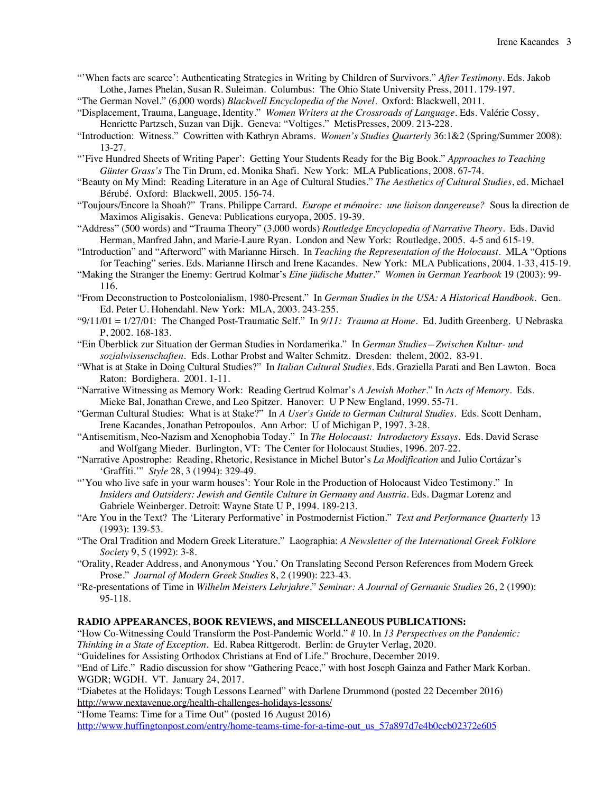- "'When facts are scarce': Authenticating Strategies in Writing by Children of Survivors." *After Testimony*. Eds. Jakob Lothe, James Phelan, Susan R. Suleiman. Columbus: The Ohio State University Press, 2011. 179-197.
- "The German Novel." (6,000 words) *Blackwell Encyclopedia of the Novel*. Oxford: Blackwell, 2011.
- "Displacement, Trauma, Language, Identity." *Women Writers at the Crossroads of Language*. Eds. Valérie Cossy, Henriette Partzsch, Suzan van Dijk. Geneva: "Voltiges." MetisPresses, 2009. 213-228.
- "Introduction: Witness." Cowritten with Kathryn Abrams. *Women's Studies Quarterly* 36:1&2 (Spring/Summer 2008): 13-27.
- "'Five Hundred Sheets of Writing Paper': Getting Your Students Ready for the Big Book." *Approaches to Teaching Günter Grass's* The Tin Drum, ed. Monika Shafi. New York: MLA Publications, 2008. 67-74.
- "Beauty on My Mind: Reading Literature in an Age of Cultural Studies." *The Aesthetics of Cultural Studies*, ed. Michael Bérubé. Oxford: Blackwell, 2005. 156-74.
- "Toujours/Encore la Shoah?" Trans. Philippe Carrard. *Europe et mémoire: une liaison dangereuse?* Sous la direction de Maximos Aligisakis. Geneva: Publications euryopa, 2005. 19-39.
- "Address" (500 words) and "Trauma Theory" (3,000 words) *Routledge Encyclopedia of Narrative Theory*. Eds. David Herman, Manfred Jahn, and Marie-Laure Ryan. London and New York: Routledge, 2005. 4-5 and 615-19.
- "Introduction" and "Afterword" with Marianne Hirsch. In *Teaching the Representation of the Holocaust*. MLA "Options for Teaching" series. Eds. Marianne Hirsch and Irene Kacandes. New York: MLA Publications, 2004. 1-33, 415-19.
- "Making the Stranger the Enemy: Gertrud Kolmar's *Eine jüdische Mutter*." *Women in German Yearbook* 19 (2003): 99- 116.
- "From Deconstruction to Postcolonialism, 1980-Present." In *German Studies in the USA: A Historical Handbook*. Gen. Ed. Peter U. Hohendahl. New York: MLA, 2003. 243-255.
- "9/11/01 = 1/27/01: The Changed Post-Traumatic Self." In *9/11: Trauma at Home.* Ed. Judith Greenberg. U Nebraska P, 2002. 168-183.
- "Ein Überblick zur Situation der German Studies in Nordamerika." In *German Studies—Zwischen Kultur- und sozialwissenschaften.* Eds. Lothar Probst and Walter Schmitz. Dresden: thelem, 2002. 83-91.
- "What is at Stake in Doing Cultural Studies?" In *Italian Cultural Studies*. Eds. Graziella Parati and Ben Lawton. Boca Raton: Bordighera. 2001. 1-11.
- "Narrative Witnessing as Memory Work: Reading Gertrud Kolmar's *A Jewish Mother*." In *Acts of Memory.* Eds. Mieke Bal, Jonathan Crewe, and Leo Spitzer. Hanover: U P New England, 1999. 55-71.
- "German Cultural Studies: What is at Stake?" In *A User's Guide to German Cultural Studies.* Eds. Scott Denham, Irene Kacandes, Jonathan Petropoulos. Ann Arbor: U of Michigan P, 1997. 3-28.
- "Antisemitism, Neo-Nazism and Xenophobia Today." In *The Holocaust: Introductory Essays.* Eds. David Scrase and Wolfgang Mieder. Burlington, VT: The Center for Holocaust Studies, 1996. 207-22.
- "Narrative Apostrophe: Reading, Rhetoric, Resistance in Michel Butor's *La Modification* and Julio Cortázar's 'Graffiti.'" *Style* 28, 3 (1994): 329-49.
- "'You who live safe in your warm houses': Your Role in the Production of Holocaust Video Testimony." In *Insiders and Outsiders: Jewish and Gentile Culture in Germany and Austria.* Eds. Dagmar Lorenz and Gabriele Weinberger. Detroit: Wayne State U P, 1994. 189-213.
- "Are You in the Text? The 'Literary Performative' in Postmodernist Fiction." *Text and Performance Quarterly* 13 (1993): 139-53.
- "The Oral Tradition and Modern Greek Literature." Laographia: *A Newsletter of the International Greek Folklore Society* 9, 5 (1992): 3-8.
- "Orality, Reader Address, and Anonymous 'You.' On Translating Second Person References from Modern Greek Prose." *Journal of Modern Greek Studies* 8, 2 (1990): 223-43.
- "Re-presentations of Time in *Wilhelm Meisters Lehrjahre*." *Seminar: A Journal of Germanic Studies* 26, 2 (1990): 95-118.

## **RADIO APPEARANCES, BOOK REVIEWS, and MISCELLANEOUS PUBLICATIONS:**

"How Co-Witnessing Could Transform the Post-Pandemic World." # 10. In *13 Perspectives on the Pandemic:* 

*Thinking in a State of Exception*. Ed. Rabea Rittgerodt. Berlin: de Gruyter Verlag, 2020. "Guidelines for Assisting Orthodox Christians at End of Life." Brochure, December 2019.

"End of Life." Radio discussion for show "Gathering Peace," with host Joseph Gainza and Father Mark Korban. WGDR; WGDH. VT. January 24, 2017.

"Diabetes at the Holidays: Tough Lessons Learned" with Darlene Drummond (posted 22 December 2016) http://www.nextavenue.org/health-challenges-holidays-lessons/

"Home Teams: Time for a Time Out" (posted 16 August 2016)

http://www.huffingtonpost.com/entry/home-teams-time-for-a-time-out\_us\_57a897d7e4b0ccb02372e605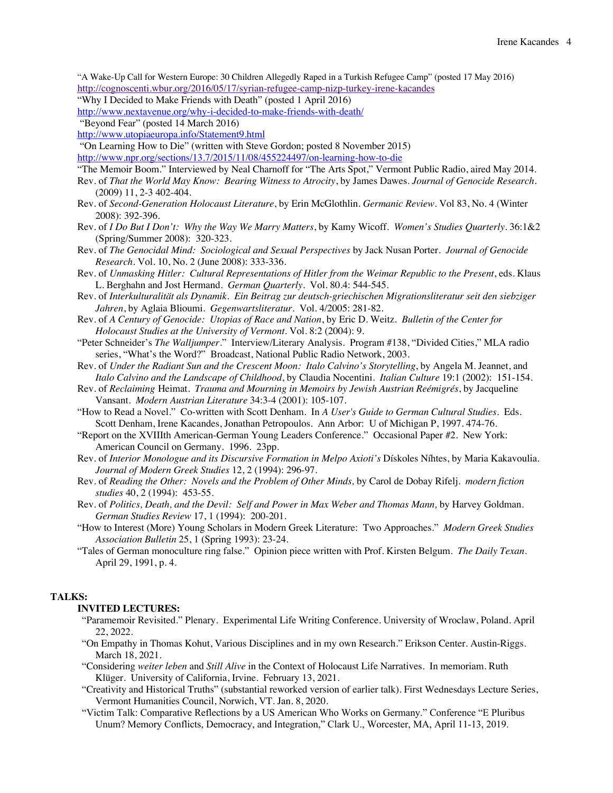"A Wake-Up Call for Western Europe: 30 Children Allegedly Raped in a Turkish Refugee Camp" (posted 17 May 2016) http://cognoscenti.wbur.org/2016/05/17/syrian-refugee-camp-nizp-turkey-irene-kacandes

- "Why I Decided to Make Friends with Death" (posted 1 April 2016)
- http://www.nextavenue.org/why-i-decided-to-make-friends-with-death/
- "Beyond Fear" (posted 14 March 2016)

http://www.utopiaeuropa.info/Statement9.html

"On Learning How to Die" (written with Steve Gordon; posted 8 November 2015)

http://www.npr.org/sections/13.7/2015/11/08/455224497/on-learning-how-to-die

- "The Memoir Boom." Interviewed by Neal Charnoff for "The Arts Spot," Vermont Public Radio, aired May 2014.
- Rev. of *That the World May Know: Bearing Witness to Atrocity*, by James Dawes. *Journal of Genocide Research*. (2009) 11, 2-3 402-404.
- Rev. of *Second-Generation Holocaust Literature*, by Erin McGlothlin. *Germanic Review*. Vol 83, No. 4 (Winter 2008): 392-396.
- Rev. of *I Do But I Don't: Why the Way We Marry Matters*, by Kamy Wicoff. *Women's Studies Quarterly*. 36:1&2 (Spring/Summer 2008): 320-323.
- Rev. of *The Genocidal Mind: Sociological and Sexual Perspectives* by Jack Nusan Porter. *Journal of Genocide Research*. Vol. 10, No. 2 (June 2008): 333-336.
- Rev. of *Unmasking Hitler: Cultural Representations of Hitler from the Weimar Republic to the Present*, eds. Klaus L. Berghahn and Jost Hermand. *German Quarterly*. Vol. 80.4: 544-545.
- Rev. of *Interkulturalität als Dynamik. Ein Beitrag zur deutsch-griechischen Migrationsliteratur seit den siebziger Jahren*, by Aglaia Blioumi. *Gegenwartsliteratur*. Vol. 4/2005: 281-82.
- Rev. of *A Century of Genocide: Utopias of Race and Nation*, by Eric D. Weitz. *Bulletin of the Center for Holocaust Studies at the University of Vermont*. Vol. 8:2 (2004): 9.
- "Peter Schneider's *The Walljumper*." Interview/Literary Analysis. Program #138, "Divided Cities," MLA radio series, "What's the Word?" Broadcast, National Public Radio Network, 2003.
- Rev. of *Under the Radiant Sun and the Crescent Moon: Italo Calvino's Storytelling*, by Angela M. Jeannet, and *Italo Calvino and the Landscape of Childhood*, by Claudia Nocentini. *Italian Culture* 19:1 (2002): 151-154.
- Rev. of *Reclaiming* Heimat*. Trauma and Mourning in Memoirs by Jewish Austrian Reémigrés*, by Jacqueline Vansant. *Modern Austrian Literature* 34:3-4 (2001): 105-107.
- "How to Read a Novel." Co-written with Scott Denham. In *A User's Guide to German Cultural Studies.* Eds. Scott Denham, Irene Kacandes, Jonathan Petropoulos. Ann Arbor: U of Michigan P, 1997. 474-76.
- "Report on the XVIIIth American-German Young Leaders Conference." Occasional Paper #2. New York: American Council on Germany. 1996. 23pp.
- Rev. of *Interior Monologue and its Discursive Formation in Melpo Axioti's* Dískoles Níhtes, by Maria Kakavoulia. *Journal of Modern Greek Studies* 12, 2 (1994): 296-97.
- Rev. of *Reading the Other: Novels and the Problem of Other Minds,* by Carol de Dobay Rifelj. *modern fiction studies* 40, 2 (1994): 453-55.
- Rev. of *Politics, Death, and the Devil: Self and Power in Max Weber and Thomas Mann,* by Harvey Goldman. *German Studies Review* 17, 1 (1994): 200-201.
- "How to Interest (More) Young Scholars in Modern Greek Literature: Two Approaches." *Modern Greek Studies Association Bulletin* 25, 1 (Spring 1993): 23-24.
- "Tales of German monoculture ring false." Opinion piece written with Prof. Kirsten Belgum. *The Daily Texan*. April 29, 1991, p. 4.

### **TALKS:**

# **INVITED LECTURES:**

- "Paramemoir Revisited." Plenary. Experimental Life Writing Conference. University of Wroclaw, Poland. April 22, 2022.
- "On Empathy in Thomas Kohut, Various Disciplines and in my own Research." Erikson Center. Austin-Riggs. March 18, 2021.
- "Considering *weiter leben* and *Still Alive* in the Context of Holocaust Life Narratives. In memoriam. Ruth Klüger. University of California, Irvine. February 13, 2021.
- "Creativity and Historical Truths" (substantial reworked version of earlier talk). First Wednesdays Lecture Series, Vermont Humanities Council, Norwich, VT. Jan. 8, 2020.
- "Victim Talk: Comparative Reflections by a US American Who Works on Germany." Conference "E Pluribus Unum? Memory Conflicts, Democracy, and Integration," Clark U., Worcester, MA, April 11-13, 2019.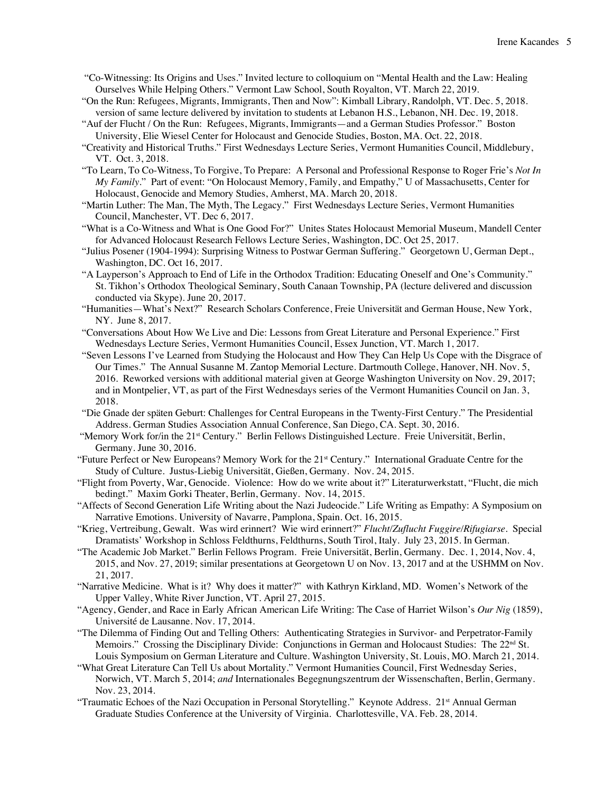- "Co-Witnessing: Its Origins and Uses." Invited lecture to colloquium on "Mental Health and the Law: Healing Ourselves While Helping Others." Vermont Law School, South Royalton, VT. March 22, 2019.
- "On the Run: Refugees, Migrants, Immigrants, Then and Now": Kimball Library, Randolph, VT. Dec. 5, 2018. version of same lecture delivered by invitation to students at Lebanon H.S., Lebanon, NH. Dec. 19, 2018.
- "Auf der Flucht / On the Run: Refugees, Migrants, Immigrants—and a German Studies Professor." Boston University, Elie Wiesel Center for Holocaust and Genocide Studies, Boston, MA. Oct. 22, 2018.
- "Creativity and Historical Truths." First Wednesdays Lecture Series, Vermont Humanities Council, Middlebury, VT. Oct. 3, 2018.
- "To Learn, To Co-Witness, To Forgive, To Prepare: A Personal and Professional Response to Roger Frie's *Not In My Family*." Part of event: "On Holocaust Memory, Family, and Empathy," U of Massachusetts, Center for Holocaust, Genocide and Memory Studies, Amherst, MA. March 20, 2018.
- "Martin Luther: The Man, The Myth, The Legacy." First Wednesdays Lecture Series, Vermont Humanities Council, Manchester, VT. Dec 6, 2017.
- "What is a Co-Witness and What is One Good For?" Unites States Holocaust Memorial Museum, Mandell Center for Advanced Holocaust Research Fellows Lecture Series, Washington, DC. Oct 25, 2017.
- "Julius Posener (1904-1994): Surprising Witness to Postwar German Suffering." Georgetown U, German Dept., Washington, DC. Oct 16, 2017.
- "A Layperson's Approach to End of Life in the Orthodox Tradition: Educating Oneself and One's Community." St. Tikhon's Orthodox Theological Seminary, South Canaan Township, PA (lecture delivered and discussion conducted via Skype). June 20, 2017.
- "Humanities—What's Next?" Research Scholars Conference, Freie Universität and German House, New York, NY. June 8, 2017.
- "Conversations About How We Live and Die: Lessons from Great Literature and Personal Experience." First Wednesdays Lecture Series, Vermont Humanities Council, Essex Junction, VT. March 1, 2017.
- "Seven Lessons I've Learned from Studying the Holocaust and How They Can Help Us Cope with the Disgrace of Our Times." The Annual Susanne M. Zantop Memorial Lecture. Dartmouth College, Hanover, NH. Nov. 5, 2016. Reworked versions with additional material given at George Washington University on Nov. 29, 2017; and in Montpelier, VT, as part of the First Wednesdays series of the Vermont Humanities Council on Jan. 3, 2018.
- "Die Gnade der späten Geburt: Challenges for Central Europeans in the Twenty-First Century." The Presidential Address. German Studies Association Annual Conference, San Diego, CA. Sept. 30, 2016.
- "Memory Work for/in the 21<sup>st</sup> Century." Berlin Fellows Distinguished Lecture. Freie Universität, Berlin, Germany. June 30, 2016.
- "Future Perfect or New Europeans? Memory Work for the 21st Century." International Graduate Centre for the Study of Culture. Justus-Liebig Universität, Gießen, Germany. Nov. 24, 2015.
- "Flight from Poverty, War, Genocide. Violence: How do we write about it?" Literaturwerkstatt, "Flucht, die mich bedingt." Maxim Gorki Theater, Berlin, Germany. Nov. 14, 2015.
- "Affects of Second Generation Life Writing about the Nazi Judeocide." Life Writing as Empathy: A Symposium on Narrative Emotions. University of Navarre, Pamplona, Spain. Oct. 16, 2015.
- "Krieg, Vertreibung, Gewalt. Was wird erinnert? Wie wird erinnert?" *Flucht/Zuflucht Fuggire/Rifugiarse*. Special Dramatists' Workshop in Schloss Feldthurns, Feldthurns, South Tirol, Italy. July 23, 2015. In German.
- "The Academic Job Market." Berlin Fellows Program. Freie Universität, Berlin, Germany. Dec. 1, 2014, Nov. 4, 2015, and Nov. 27, 2019; similar presentations at Georgetown U on Nov. 13, 2017 and at the USHMM on Nov. 21, 2017.
- "Narrative Medicine. What is it? Why does it matter?" with Kathryn Kirkland, MD. Women's Network of the Upper Valley, White River Junction, VT. April 27, 2015.
- "Agency, Gender, and Race in Early African American Life Writing: The Case of Harriet Wilson's *Our Nig* (1859), Université de Lausanne. Nov. 17, 2014.
- "The Dilemma of Finding Out and Telling Others: Authenticating Strategies in Survivor- and Perpetrator-Family Memoirs." Crossing the Disciplinary Divide: Conjunctions in German and Holocaust Studies: The 22<sup>nd</sup> St. Louis Symposium on German Literature and Culture. Washington University, St. Louis, MO. March 21, 2014.
- "What Great Literature Can Tell Us about Mortality." Vermont Humanities Council, First Wednesday Series, Norwich, VT. March 5, 2014; *and* Internationales Begegnungszentrum der Wissenschaften, Berlin, Germany. Nov. 23, 2014.
- "Traumatic Echoes of the Nazi Occupation in Personal Storytelling." Keynote Address. 21<sup>st</sup> Annual German Graduate Studies Conference at the University of Virginia. Charlottesville, VA. Feb. 28, 2014.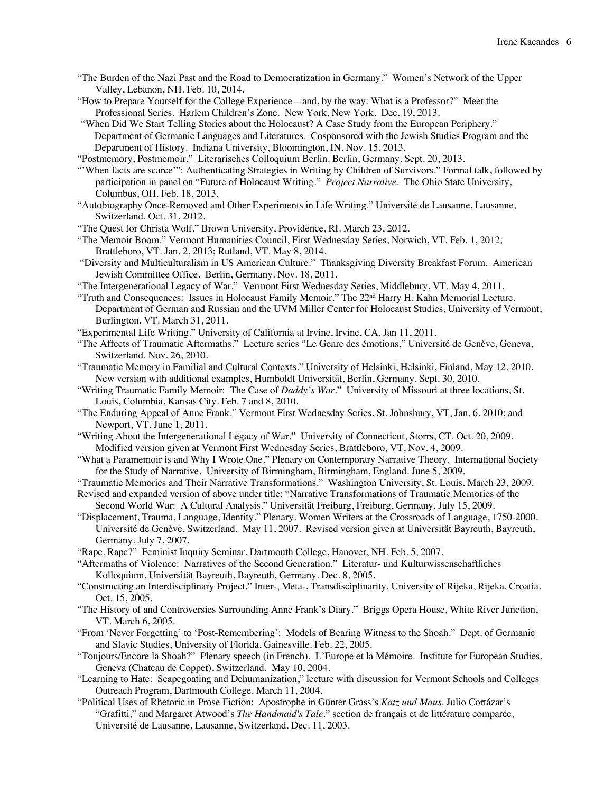- "The Burden of the Nazi Past and the Road to Democratization in Germany." Women's Network of the Upper Valley, Lebanon, NH. Feb. 10, 2014.
- "How to Prepare Yourself for the College Experience—and, by the way: What is a Professor?" Meet the Professional Series. Harlem Children's Zone. New York, New York. Dec. 19, 2013.

"When Did We Start Telling Stories about the Holocaust? A Case Study from the European Periphery." Department of Germanic Languages and Literatures. Cosponsored with the Jewish Studies Program and the Department of History. Indiana University, Bloomington, IN. Nov. 15, 2013.

"Postmemory, Postmemoir." Literarisches Colloquium Berlin. Berlin, Germany. Sept. 20, 2013.

"'When facts are scarce'": Authenticating Strategies in Writing by Children of Survivors." Formal talk, followed by participation in panel on "Future of Holocaust Writing." *Project Narrative*. The Ohio State University, Columbus, OH. Feb. 18, 2013.

- "Autobiography Once-Removed and Other Experiments in Life Writing." Université de Lausanne, Lausanne, Switzerland. Oct. 31, 2012.
- "The Quest for Christa Wolf." Brown University, Providence, RI. March 23, 2012.

"The Memoir Boom." Vermont Humanities Council, First Wednesday Series, Norwich, VT. Feb. 1, 2012; Brattleboro, VT. Jan. 2, 2013; Rutland, VT. May 8, 2014.

- "Diversity and Multiculturalism in US American Culture." Thanksgiving Diversity Breakfast Forum. American Jewish Committee Office. Berlin, Germany. Nov. 18, 2011.
- "The Intergenerational Legacy of War." Vermont First Wednesday Series, Middlebury, VT. May 4, 2011.
- "Truth and Consequences: Issues in Holocaust Family Memoir." The 22<sup>nd</sup> Harry H. Kahn Memorial Lecture. Department of German and Russian and the UVM Miller Center for Holocaust Studies, University of Vermont, Burlington, VT. March 31, 2011.
- "Experimental Life Writing." University of California at Irvine, Irvine, CA. Jan 11, 2011.

"The Affects of Traumatic Aftermaths." Lecture series "Le Genre des émotions," Université de Genève, Geneva, Switzerland. Nov. 26, 2010.

- "Traumatic Memory in Familial and Cultural Contexts." University of Helsinki, Helsinki, Finland, May 12, 2010. New version with additional examples, Humboldt Universität, Berlin, Germany. Sept. 30, 2010.
- "Writing Traumatic Family Memoir: The Case of *Daddy's War*." University of Missouri at three locations, St. Louis, Columbia, Kansas City. Feb. 7 and 8, 2010.
- "The Enduring Appeal of Anne Frank." Vermont First Wednesday Series, St. Johnsbury, VT, Jan. 6, 2010; and Newport, VT, June 1, 2011.
- "Writing About the Intergenerational Legacy of War." University of Connecticut, Storrs, CT. Oct. 20, 2009. Modified version given at Vermont First Wednesday Series, Brattleboro, VT, Nov. 4, 2009.
- "What a Paramemoir is and Why I Wrote One." Plenary on Contemporary Narrative Theory. International Society for the Study of Narrative. University of Birmingham, Birmingham, England. June 5, 2009.
- "Traumatic Memories and Their Narrative Transformations." Washington University, St. Louis. March 23, 2009.
- Revised and expanded version of above under title: "Narrative Transformations of Traumatic Memories of the Second World War: A Cultural Analysis." Universität Freiburg, Freiburg, Germany. July 15, 2009.
- "Displacement, Trauma, Language, Identity." Plenary. Women Writers at the Crossroads of Language, 1750-2000. Université de Genève, Switzerland. May 11, 2007. Revised version given at Universität Bayreuth, Bayreuth, Germany. July 7, 2007.
- "Rape. Rape?" Feminist Inquiry Seminar, Dartmouth College, Hanover, NH. Feb. 5, 2007.
- "Aftermaths of Violence: Narratives of the Second Generation." Literatur- und Kulturwissenschaftliches Kolloquium, Universität Bayreuth, Bayreuth, Germany. Dec. 8, 2005.
- "Constructing an Interdisciplinary Project." Inter-, Meta-, Transdisciplinarity. University of Rijeka, Rijeka, Croatia. Oct. 15, 2005.
- "The History of and Controversies Surrounding Anne Frank's Diary." Briggs Opera House, White River Junction, VT. March 6, 2005.
- "From 'Never Forgetting' to 'Post-Remembering': Models of Bearing Witness to the Shoah." Dept. of Germanic and Slavic Studies, University of Florida, Gainesville. Feb. 22, 2005.
- "Toujours/Encore la Shoah?" Plenary speech (in French). L'Europe et la Mémoire. Institute for European Studies, Geneva (Chateau de Coppet), Switzerland. May 10, 2004.
- "Learning to Hate: Scapegoating and Dehumanization," lecture with discussion for Vermont Schools and Colleges Outreach Program, Dartmouth College. March 11, 2004.
- "Political Uses of Rhetoric in Prose Fiction: Apostrophe in Günter Grass's *Katz und Maus,* Julio Cortázar's "Grafitti," and Margaret Atwood's *The Handmaid's Tale,*" section de français et de littérature comparée, Université de Lausanne, Lausanne, Switzerland. Dec. 11, 2003.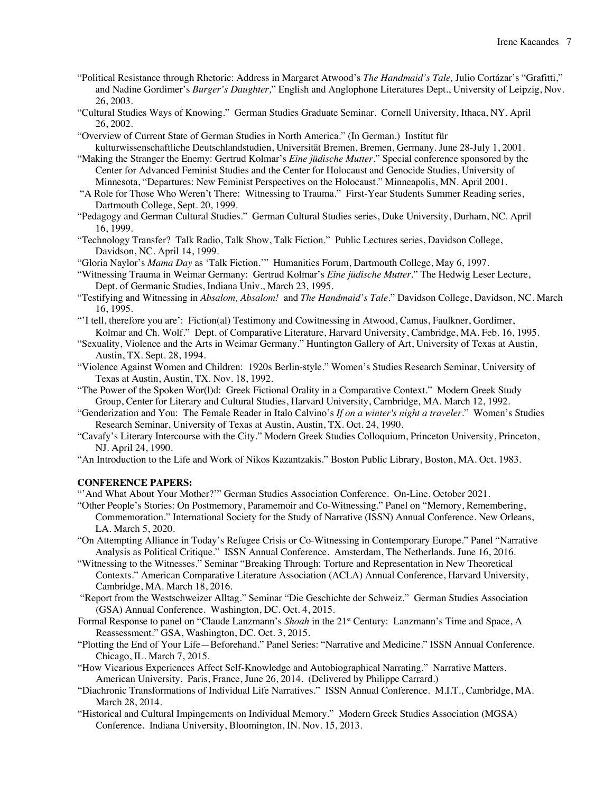- "Political Resistance through Rhetoric: Address in Margaret Atwood's *The Handmaid's Tale,* Julio Cortázar's "Grafitti," and Nadine Gordimer's *Burger's Daughter,*" English and Anglophone Literatures Dept., University of Leipzig, Nov. 26, 2003.
- "Cultural Studies Ways of Knowing." German Studies Graduate Seminar. Cornell University, Ithaca, NY. April 26, 2002.
- "Overview of Current State of German Studies in North America." (In German.) Institut für kulturwissenschaftliche Deutschlandstudien, Universität Bremen, Bremen, Germany. June 28-July 1, 2001.
- "Making the Stranger the Enemy: Gertrud Kolmar's *Eine jüdische Mutter*." Special conference sponsored by the Center for Advanced Feminist Studies and the Center for Holocaust and Genocide Studies, University of Minnesota, "Departures: New Feminist Perspectives on the Holocaust." Minneapolis, MN. April 2001.
- "A Role for Those Who Weren't There: Witnessing to Trauma." First-Year Students Summer Reading series, Dartmouth College, Sept. 20, 1999.
- "Pedagogy and German Cultural Studies." German Cultural Studies series, Duke University, Durham, NC. April 16, 1999.
- "Technology Transfer? Talk Radio, Talk Show, Talk Fiction." Public Lectures series, Davidson College, Davidson, NC. April 14, 1999.

"Gloria Naylor's *Mama Day* as 'Talk Fiction.'" Humanities Forum, Dartmouth College, May 6, 1997.

- "Witnessing Trauma in Weimar Germany: Gertrud Kolmar's *Eine jüdische Mutter*." The Hedwig Leser Lecture, Dept. of Germanic Studies, Indiana Univ., March 23, 1995.
- "Testifying and Witnessing in *Absalom, Absalom!* and *The Handmaid's Tale*." Davidson College, Davidson, NC. March 16, 1995.
- "'I tell, therefore you are': Fiction(al) Testimony and Cowitnessing in Atwood, Camus, Faulkner, Gordimer, Kolmar and Ch. Wolf." Dept. of Comparative Literature, Harvard University, Cambridge, MA. Feb. 16, 1995.
- "Sexuality, Violence and the Arts in Weimar Germany." Huntington Gallery of Art, University of Texas at Austin, Austin, TX. Sept. 28, 1994.
- "Violence Against Women and Children: 1920s Berlin-style." Women's Studies Research Seminar, University of Texas at Austin, Austin, TX. Nov. 18, 1992.
- "The Power of the Spoken Wor(l)d: Greek Fictional Orality in a Comparative Context." Modern Greek Study Group, Center for Literary and Cultural Studies, Harvard University, Cambridge, MA. March 12, 1992.
- "Genderization and You: The Female Reader in Italo Calvino's *If on a winter's night a traveler*." Women's Studies Research Seminar, University of Texas at Austin, Austin, TX. Oct. 24, 1990.
- "Cavafy's Literary Intercourse with the City." Modern Greek Studies Colloquium, Princeton University, Princeton, NJ. April 24, 1990.
- "An Introduction to the Life and Work of Nikos Kazantzakis." Boston Public Library, Boston, MA. Oct. 1983.

### **CONFERENCE PAPERS:**

"'And What About Your Mother?'" German Studies Association Conference. On-Line. October 2021.

- "Other People's Stories: On Postmemory, Paramemoir and Co-Witnessing." Panel on "Memory, Remembering, Commemoration." International Society for the Study of Narrative (ISSN) Annual Conference. New Orleans, LA. March 5, 2020.
- "On Attempting Alliance in Today's Refugee Crisis or Co-Witnessing in Contemporary Europe." Panel "Narrative Analysis as Political Critique." ISSN Annual Conference. Amsterdam, The Netherlands. June 16, 2016.
- "Witnessing to the Witnesses." Seminar "Breaking Through: Torture and Representation in New Theoretical Contexts." American Comparative Literature Association (ACLA) Annual Conference, Harvard University, Cambridge, MA. March 18, 2016.
- "Report from the Westschweizer Alltag." Seminar "Die Geschichte der Schweiz." German Studies Association (GSA) Annual Conference. Washington, DC. Oct. 4, 2015.
- Formal Response to panel on "Claude Lanzmann's *Shoah* in the 21<sup>st</sup> Century: Lanzmann's Time and Space, A Reassessment." GSA, Washington, DC. Oct. 3, 2015.
- "Plotting the End of Your Life—Beforehand." Panel Series: "Narrative and Medicine." ISSN Annual Conference. Chicago, IL. March 7, 2015.
- "How Vicarious Experiences Affect Self-Knowledge and Autobiographical Narrating." Narrative Matters. American University. Paris, France, June 26, 2014. (Delivered by Philippe Carrard.)
- "Diachronic Transformations of Individual Life Narratives." ISSN Annual Conference. M.I.T., Cambridge, MA. March 28, 2014.
- "Historical and Cultural Impingements on Individual Memory." Modern Greek Studies Association (MGSA) Conference. Indiana University, Bloomington, IN. Nov. 15, 2013.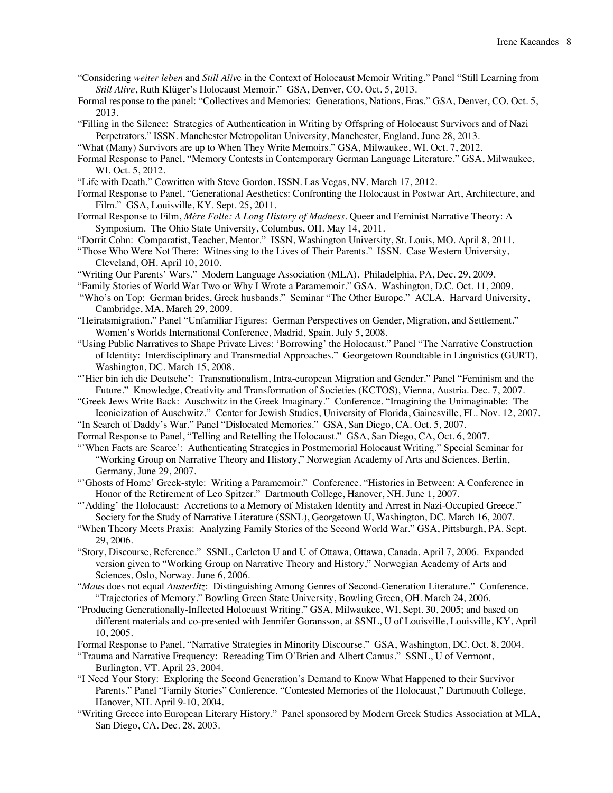- "Considering *weiter leben* and *Still Aliv*e in the Context of Holocaust Memoir Writing." Panel "Still Learning from *Still Alive*, Ruth Klüger's Holocaust Memoir." GSA, Denver, CO. Oct. 5, 2013.
- Formal response to the panel: "Collectives and Memories: Generations, Nations, Eras." GSA, Denver, CO. Oct. 5, 2013.
- "Filling in the Silence: Strategies of Authentication in Writing by Offspring of Holocaust Survivors and of Nazi Perpetrators." ISSN. Manchester Metropolitan University, Manchester, England. June 28, 2013.
- "What (Many) Survivors are up to When They Write Memoirs." GSA, Milwaukee, WI. Oct. 7, 2012.
- Formal Response to Panel, "Memory Contests in Contemporary German Language Literature." GSA, Milwaukee, WI. Oct. 5, 2012.
- "Life with Death." Cowritten with Steve Gordon. ISSN. Las Vegas, NV. March 17, 2012.
- Formal Response to Panel, "Generational Aesthetics: Confronting the Holocaust in Postwar Art, Architecture, and Film." GSA, Louisville, KY. Sept. 25, 2011.
- Formal Response to Film, *Mère Folle: A Long History of Madness*. Queer and Feminist Narrative Theory: A Symposium. The Ohio State University, Columbus, OH. May 14, 2011.
- "Dorrit Cohn: Comparatist, Teacher, Mentor." ISSN, Washington University, St. Louis, MO. April 8, 2011.
- "Those Who Were Not There: Witnessing to the Lives of Their Parents." ISSN. Case Western University, Cleveland, OH. April 10, 2010.
- "Writing Our Parents' Wars." Modern Language Association (MLA). Philadelphia, PA, Dec. 29, 2009.
- "Family Stories of World War Two or Why I Wrote a Paramemoir." GSA. Washington, D.C. Oct. 11, 2009.
- "Who's on Top: German brides, Greek husbands." Seminar "The Other Europe." ACLA. Harvard University, Cambridge, MA, March 29, 2009.
- "Heiratsmigration." Panel "Unfamiliar Figures: German Perspectives on Gender, Migration, and Settlement." Women's Worlds International Conference, Madrid, Spain. July 5, 2008.
- "Using Public Narratives to Shape Private Lives: 'Borrowing' the Holocaust." Panel "The Narrative Construction of Identity: Interdisciplinary and Transmedial Approaches." Georgetown Roundtable in Linguistics (GURT), Washington, DC. March 15, 2008.
- "'Hier bin ich die Deutsche': Transnationalism, Intra-european Migration and Gender." Panel "Feminism and the Future." Knowledge, Creativity and Transformation of Societies (KCTOS), Vienna, Austria. Dec. 7, 2007.
- "Greek Jews Write Back: Auschwitz in the Greek Imaginary." Conference. "Imagining the Unimaginable: The Iconicization of Auschwitz." Center for Jewish Studies, University of Florida, Gainesville, FL. Nov. 12, 2007.
- "In Search of Daddy's War." Panel "Dislocated Memories." GSA, San Diego, CA. Oct. 5, 2007.
- Formal Response to Panel, "Telling and Retelling the Holocaust." GSA, San Diego, CA, Oct. 6, 2007.
- "'When Facts are Scarce': Authenticating Strategies in Postmemorial Holocaust Writing." Special Seminar for "Working Group on Narrative Theory and History," Norwegian Academy of Arts and Sciences. Berlin, Germany, June 29, 2007.
- "'Ghosts of Home' Greek-style: Writing a Paramemoir." Conference. "Histories in Between: A Conference in Honor of the Retirement of Leo Spitzer." Dartmouth College, Hanover, NH. June 1, 2007.
- "'Adding' the Holocaust: Accretions to a Memory of Mistaken Identity and Arrest in Nazi-Occupied Greece." Society for the Study of Narrative Literature (SSNL), Georgetown U, Washington, DC. March 16, 2007.
- "When Theory Meets Praxis: Analyzing Family Stories of the Second World War." GSA, Pittsburgh, PA. Sept. 29, 2006.
- "Story, Discourse, Reference." SSNL, Carleton U and U of Ottawa, Ottawa, Canada. April 7, 2006. Expanded version given to "Working Group on Narrative Theory and History," Norwegian Academy of Arts and Sciences, Oslo, Norway. June 6, 2006.
- "*Mau*s does not equal *Austerlitz*: Distinguishing Among Genres of Second-Generation Literature." Conference. "Trajectories of Memory." Bowling Green State University, Bowling Green, OH. March 24, 2006.
- "Producing Generationally-Inflected Holocaust Writing." GSA, Milwaukee, WI, Sept. 30, 2005; and based on different materials and co-presented with Jennifer Goransson, at SSNL, U of Louisville, Louisville, KY, April 10, 2005.
- Formal Response to Panel, "Narrative Strategies in Minority Discourse." GSA, Washington, DC. Oct. 8, 2004.
- "Trauma and Narrative Frequency: Rereading Tim O'Brien and Albert Camus." SSNL, U of Vermont, Burlington, VT. April 23, 2004.
- "I Need Your Story: Exploring the Second Generation's Demand to Know What Happened to their Survivor Parents." Panel "Family Stories" Conference. "Contested Memories of the Holocaust," Dartmouth College, Hanover, NH. April 9-10, 2004.
- "Writing Greece into European Literary History." Panel sponsored by Modern Greek Studies Association at MLA, San Diego, CA. Dec. 28, 2003.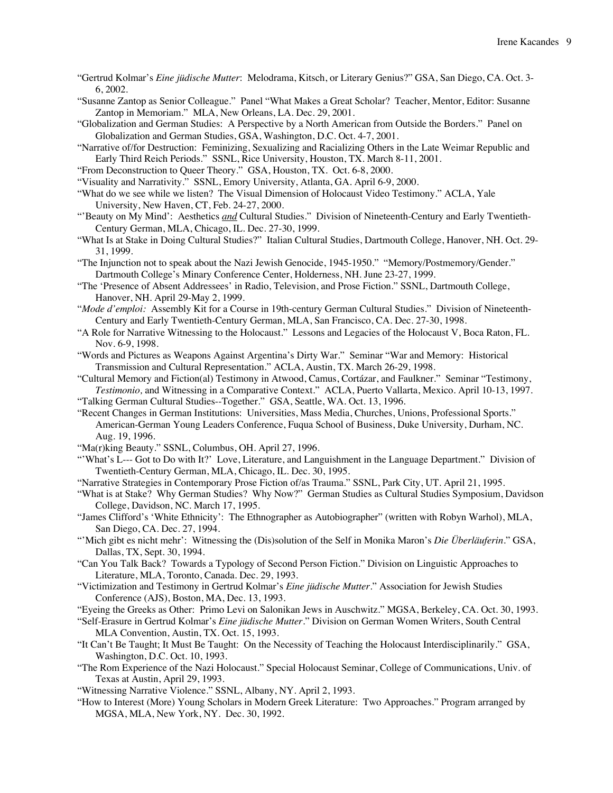- "Gertrud Kolmar's *Eine jüdische Mutter*: Melodrama, Kitsch, or Literary Genius?" GSA, San Diego, CA. Oct. 3- 6, 2002.
- "Susanne Zantop as Senior Colleague." Panel "What Makes a Great Scholar? Teacher, Mentor, Editor: Susanne Zantop in Memoriam." MLA, New Orleans, LA. Dec. 29, 2001.
- "Globalization and German Studies: A Perspective by a North American from Outside the Borders." Panel on Globalization and German Studies, GSA, Washington, D.C. Oct. 4-7, 2001.
- "Narrative of/for Destruction: Feminizing, Sexualizing and Racializing Others in the Late Weimar Republic and Early Third Reich Periods." SSNL, Rice University, Houston, TX. March 8-11, 2001.
- "From Deconstruction to Queer Theory." GSA, Houston, TX. Oct. 6-8, 2000.
- "Visuality and Narrativity." SSNL, Emory University, Atlanta, GA. April 6-9, 2000.
- "What do we see while we listen? The Visual Dimension of Holocaust Video Testimony." ACLA, Yale University, New Haven, CT, Feb. 24-27, 2000.
- "'Beauty on My Mind': Aesthetics *and* Cultural Studies." Division of Nineteenth-Century and Early Twentieth-Century German, MLA, Chicago, IL. Dec. 27-30, 1999.
- "What Is at Stake in Doing Cultural Studies?" Italian Cultural Studies, Dartmouth College, Hanover, NH. Oct. 29- 31, 1999.
- "The Injunction not to speak about the Nazi Jewish Genocide, 1945-1950." "Memory/Postmemory/Gender." Dartmouth College's Minary Conference Center, Holderness, NH. June 23-27, 1999.
- "The 'Presence of Absent Addressees' in Radio, Television, and Prose Fiction." SSNL, Dartmouth College, Hanover, NH. April 29-May 2, 1999.
- "*Mode d'emploi:* Assembly Kit for a Course in 19th-century German Cultural Studies." Division of Nineteenth-Century and Early Twentieth-Century German, MLA, San Francisco, CA. Dec. 27-30, 1998.
- "A Role for Narrative Witnessing to the Holocaust." Lessons and Legacies of the Holocaust V, Boca Raton, FL. Nov. 6-9, 1998.
- "Words and Pictures as Weapons Against Argentina's Dirty War." Seminar "War and Memory: Historical Transmission and Cultural Representation." ACLA, Austin, TX. March 26-29, 1998.
- "Cultural Memory and Fiction(al) Testimony in Atwood, Camus, Cortázar, and Faulkner." Seminar "Testimony, *Testimonio,* and Witnessing in a Comparative Context." ACLA, Puerto Vallarta, Mexico. April 10-13, 1997.
- "Talking German Cultural Studies--Together." GSA, Seattle, WA. Oct. 13, 1996.
- "Recent Changes in German Institutions: Universities, Mass Media, Churches, Unions, Professional Sports." American-German Young Leaders Conference, Fuqua School of Business, Duke University, Durham, NC. Aug. 19, 1996.
- "Ma(r)king Beauty." SSNL, Columbus, OH. April 27, 1996.
- "'What's L--- Got to Do with It?' Love, Literature, and Languishment in the Language Department." Division of Twentieth-Century German, MLA, Chicago, IL. Dec. 30, 1995.
- "Narrative Strategies in Contemporary Prose Fiction of/as Trauma." SSNL, Park City, UT. April 21, 1995.
- "What is at Stake? Why German Studies? Why Now?" German Studies as Cultural Studies Symposium, Davidson College, Davidson, NC. March 17, 1995.
- "James Clifford's 'White Ethnicity': The Ethnographer as Autobiographer" (written with Robyn Warhol), MLA, San Diego, CA. Dec. 27, 1994.
- "'Mich gibt es nicht mehr': Witnessing the (Dis)solution of the Self in Monika Maron's *Die Überläuferin*." GSA, Dallas, TX, Sept. 30, 1994.
- "Can You Talk Back? Towards a Typology of Second Person Fiction." Division on Linguistic Approaches to Literature, MLA, Toronto, Canada. Dec. 29, 1993.
- "Victimization and Testimony in Gertrud Kolmar's *Eine jüdische Mutter*." Association for Jewish Studies Conference (AJS), Boston, MA, Dec. 13, 1993.
- "Eyeing the Greeks as Other: Primo Levi on Salonikan Jews in Auschwitz." MGSA, Berkeley, CA. Oct. 30, 1993.
- "Self-Erasure in Gertrud Kolmar's *Eine jüdische Mutter*." Division on German Women Writers, South Central MLA Convention, Austin, TX. Oct. 15, 1993.
- "It Can't Be Taught; It Must Be Taught: On the Necessity of Teaching the Holocaust Interdisciplinarily." GSA, Washington, D.C. Oct. 10, 1993.
- "The Rom Experience of the Nazi Holocaust." Special Holocaust Seminar, College of Communications, Univ. of Texas at Austin, April 29, 1993.
- "Witnessing Narrative Violence." SSNL, Albany, NY. April 2, 1993.
- "How to Interest (More) Young Scholars in Modern Greek Literature: Two Approaches." Program arranged by MGSA, MLA, New York, NY. Dec. 30, 1992.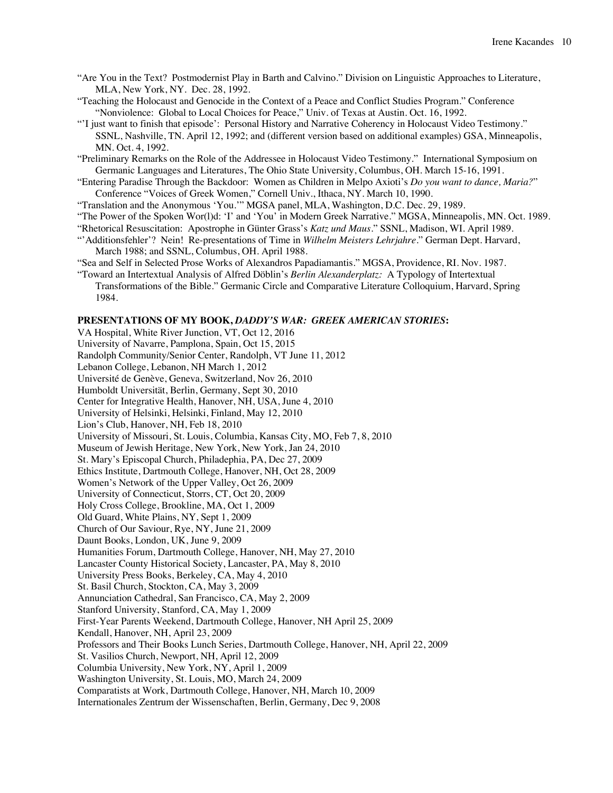- "Are You in the Text? Postmodernist Play in Barth and Calvino." Division on Linguistic Approaches to Literature, MLA, New York, NY. Dec. 28, 1992.
- "Teaching the Holocaust and Genocide in the Context of a Peace and Conflict Studies Program." Conference "Nonviolence: Global to Local Choices for Peace," Univ. of Texas at Austin. Oct. 16, 1992.
- "'I just want to finish that episode': Personal History and Narrative Coherency in Holocaust Video Testimony." SSNL, Nashville, TN. April 12, 1992; and (different version based on additional examples) GSA, Minneapolis, MN. Oct. 4, 1992.

"Preliminary Remarks on the Role of the Addressee in Holocaust Video Testimony." International Symposium on Germanic Languages and Literatures, The Ohio State University, Columbus, OH. March 15-16, 1991.

"Entering Paradise Through the Backdoor: Women as Children in Melpo Axioti's *Do you want to dance, Maria?*" Conference "Voices of Greek Women," Cornell Univ., Ithaca, NY. March 10, 1990.

"Translation and the Anonymous 'You.'" MGSA panel, MLA, Washington, D.C. Dec. 29, 1989.

- "The Power of the Spoken Wor(l)d: 'I' and 'You' in Modern Greek Narrative." MGSA, Minneapolis, MN. Oct. 1989.
- "Rhetorical Resuscitation: Apostrophe in Günter Grass's *Katz und Maus*." SSNL, Madison, WI. April 1989.
- "'Additionsfehler'? Nein! Re-presentations of Time in *Wilhelm Meisters Lehrjahre.*" German Dept. Harvard, March 1988; and SSNL, Columbus, OH. April 1988.
- "Sea and Self in Selected Prose Works of Alexandros Papadiamantis." MGSA, Providence, RI. Nov. 1987. "Toward an Intertextual Analysis of Alfred Döblin's *Berlin Alexanderplatz:* A Typology of Intertextual
- Transformations of the Bible." Germanic Circle and Comparative Literature Colloquium, Harvard, Spring 1984.

# **PRESENTATIONS OF MY BOOK,** *DADDY'S WAR: GREEK AMERICAN STORIES***:**

VA Hospital, White River Junction, VT, Oct 12, 2016 University of Navarre, Pamplona, Spain, Oct 15, 2015 Randolph Community/Senior Center, Randolph, VT June 11, 2012 Lebanon College, Lebanon, NH March 1, 2012 Université de Genève, Geneva, Switzerland, Nov 26, 2010 Humboldt Universität, Berlin, Germany, Sept 30, 2010 Center for Integrative Health, Hanover, NH, USA, June 4, 2010 University of Helsinki, Helsinki, Finland, May 12, 2010 Lion's Club, Hanover, NH, Feb 18, 2010 University of Missouri, St. Louis, Columbia, Kansas City, MO, Feb 7, 8, 2010 Museum of Jewish Heritage, New York, New York, Jan 24, 2010 St. Mary's Episcopal Church, Philadephia, PA, Dec 27, 2009 Ethics Institute, Dartmouth College, Hanover, NH, Oct 28, 2009 Women's Network of the Upper Valley, Oct 26, 2009 University of Connecticut, Storrs, CT, Oct 20, 2009 Holy Cross College, Brookline, MA, Oct 1, 2009 Old Guard, White Plains, NY, Sept 1, 2009 Church of Our Saviour, Rye, NY, June 21, 2009 Daunt Books, London, UK, June 9, 2009 Humanities Forum, Dartmouth College, Hanover, NH, May 27, 2010 Lancaster County Historical Society, Lancaster, PA, May 8, 2010 University Press Books, Berkeley, CA, May 4, 2010 St. Basil Church, Stockton, CA, May 3, 2009 Annunciation Cathedral, San Francisco, CA, May 2, 2009 Stanford University, Stanford, CA, May 1, 2009 First-Year Parents Weekend, Dartmouth College, Hanover, NH April 25, 2009 Kendall, Hanover, NH, April 23, 2009 Professors and Their Books Lunch Series, Dartmouth College, Hanover, NH, April 22, 2009 St. Vasilios Church, Newport, NH, April 12, 2009 Columbia University, New York, NY, April 1, 2009 Washington University, St. Louis, MO, March 24, 2009 Comparatists at Work, Dartmouth College, Hanover, NH, March 10, 2009 Internationales Zentrum der Wissenschaften, Berlin, Germany, Dec 9, 2008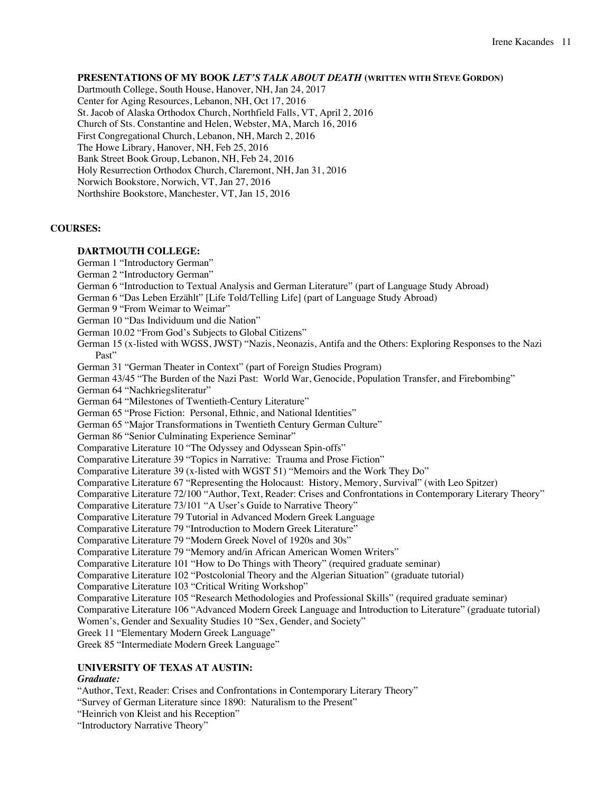# **PRESENTATIONS OF MY BOOK** *LET'S TALK ABOUT DEATH* **(WRITTEN WITH STEVE GORDON)**

Dartmouth College, South House, Hanover, NH, Jan 24, 2017 Center for Aging Resources, Lebanon, NH, Oct 17, 2016 St. Jacob of Alaska Orthodox Church, Northfield Falls, VT, April 2, 2016 Church of Sts. Constantine and Helen, Webster, MA, March 16, 2016 First Congregational Church, Lebanon, NH, March 2, 2016 The Howe Library, Hanover, NH, Feb 25, 2016 Bank Street Book Group, Lebanon, NH, Feb 24, 2016 Holy Resurrection Orthodox Church, Claremont, NH, Jan 31, 2016 Norwich Bookstore, Norwich, VT, Jan 27, 2016 Northshire Bookstore, Manchester, VT, Jan 15, 2016

# **COURSES:**

# **DARTMOUTH COLLEGE:**

German 1 "Introductory German"

- German 2 "Introductory German"
- German 6 "Introduction to Textual Analysis and German Literature" (part of Language Study Abroad)
- German 6 "Das Leben Erzählt" [Life Told/Telling Life] (part of Language Study Abroad)
- German 9 "From Weimar to Weimar"

German 10 "Das Individuum und die Nation"

German 10.02 "From God's Subjects to Global Citizens"

German 15 (x-listed with WGSS, JWST) "Nazis, Neonazis, Antifa and the Others: Exploring Responses to the Nazi Past"

German 31 "German Theater in Context" (part of Foreign Studies Program)

German 43/45 "The Burden of the Nazi Past: World War, Genocide, Population Transfer, and Firebombing"

German 64 "Nachkriegsliteratur"

German 64 "Milestones of Twentieth-Century Literature"

German 65 "Prose Fiction: Personal, Ethnic, and National Identities"

German 65 "Major Transformations in Twentieth Century German Culture"

German 86 "Senior Culminating Experience Seminar"

Comparative Literature 10 "The Odyssey and Odyssean Spin-offs"

Comparative Literature 39 "Topics in Narrative: Trauma and Prose Fiction"

Comparative Literature 39 (x-listed with WGST 51) "Memoirs and the Work They Do"

Comparative Literature 67 "Representing the Holocaust: History, Memory, Survival" (with Leo Spitzer)

Comparative Literature 72/100 "Author, Text, Reader: Crises and Confrontations in Contemporary Literary Theory"

Comparative Literature 73/101 "A User's Guide to Narrative Theory"

Comparative Literature 79 Tutorial in Advanced Modern Greek Language

Comparative Literature 79 "Introduction to Modern Greek Literature"

Comparative Literature 79 "Modern Greek Novel of 1920s and 30s"

Comparative Literature 79 "Memory and/in African American Women Writers"

Comparative Literature 101 "How to Do Things with Theory" (required graduate seminar)

Comparative Literature 102 "Postcolonial Theory and the Algerian Situation" (graduate tutorial)

Comparative Literature 103 "Critical Writing Workshop"

Comparative Literature 105 "Research Methodologies and Professional Skills" (required graduate seminar)

Comparative Literature 106 "Advanced Modern Greek Language and Introduction to Literature" (graduate tutorial)

Women's, Gender and Sexuality Studies 10 "Sex, Gender, and Society"

Greek 11 "Elementary Modern Greek Language"

Greek 85 "Intermediate Modern Greek Language"

# **UNIVERSITY OF TEXAS AT AUSTIN:**

### *Graduate:*

"Author, Text, Reader: Crises and Confrontations in Contemporary Literary Theory"

"Survey of German Literature since 1890: Naturalism to the Present"

"Heinrich von Kleist and his Reception"

"Introductory Narrative Theory"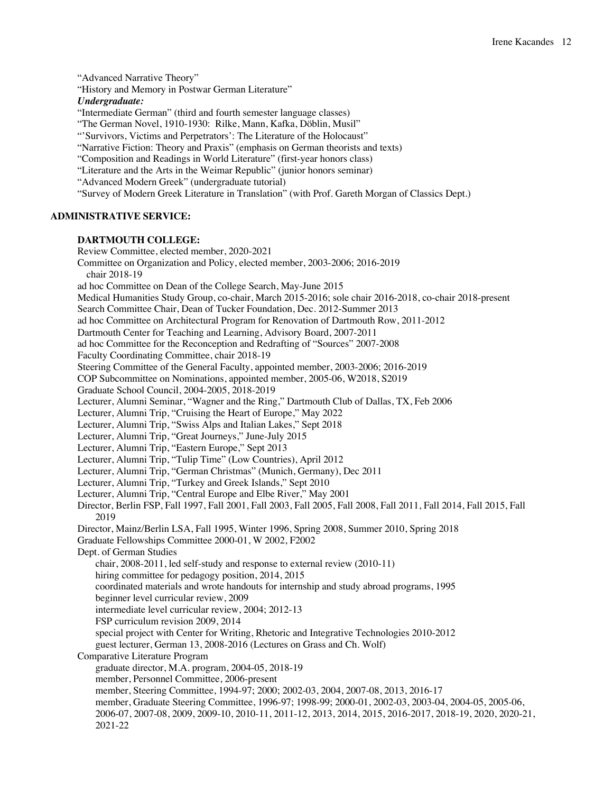"Advanced Narrative Theory" "History and Memory in Postwar German Literature" *Undergraduate:* "Intermediate German" (third and fourth semester language classes) "The German Novel, 1910-1930: Rilke, Mann, Kafka, Döblin, Musil" "'Survivors, Victims and Perpetrators': The Literature of the Holocaust" "Narrative Fiction: Theory and Praxis" (emphasis on German theorists and texts) "Composition and Readings in World Literature" (first-year honors class) "Literature and the Arts in the Weimar Republic" (junior honors seminar) "Advanced Modern Greek" (undergraduate tutorial) "Survey of Modern Greek Literature in Translation" (with Prof. Gareth Morgan of Classics Dept.) **ADMINISTRATIVE SERVICE: DARTMOUTH COLLEGE:** Review Committee, elected member, 2020-2021 Committee on Organization and Policy, elected member, 2003-2006; 2016-2019 chair 2018-19 ad hoc Committee on Dean of the College Search, May-June 2015 Medical Humanities Study Group, co-chair, March 2015-2016; sole chair 2016-2018, co-chair 2018-present Search Committee Chair, Dean of Tucker Foundation, Dec. 2012-Summer 2013 ad hoc Committee on Architectural Program for Renovation of Dartmouth Row, 2011-2012 Dartmouth Center for Teaching and Learning, Advisory Board, 2007-2011 ad hoc Committee for the Reconception and Redrafting of "Sources" 2007-2008 Faculty Coordinating Committee, chair 2018-19 Steering Committee of the General Faculty, appointed member, 2003-2006; 2016-2019 COP Subcommittee on Nominations, appointed member, 2005-06, W2018, S2019 Graduate School Council, 2004-2005, 2018-2019 Lecturer, Alumni Seminar, "Wagner and the Ring," Dartmouth Club of Dallas, TX, Feb 2006 Lecturer, Alumni Trip, "Cruising the Heart of Europe," May 2022 Lecturer, Alumni Trip, "Swiss Alps and Italian Lakes," Sept 2018 Lecturer, Alumni Trip, "Great Journeys," June-July 2015 Lecturer, Alumni Trip, "Eastern Europe," Sept 2013 Lecturer, Alumni Trip, "Tulip Time" (Low Countries), April 2012 Lecturer, Alumni Trip, "German Christmas" (Munich, Germany), Dec 2011 Lecturer, Alumni Trip, "Turkey and Greek Islands," Sept 2010 Lecturer, Alumni Trip, "Central Europe and Elbe River," May 2001 Director, Berlin FSP, Fall 1997, Fall 2001, Fall 2003, Fall 2005, Fall 2008, Fall 2011, Fall 2014, Fall 2015, Fall 2019 Director, Mainz/Berlin LSA, Fall 1995, Winter 1996, Spring 2008, Summer 2010, Spring 2018 Graduate Fellowships Committee 2000-01, W 2002, F2002 Dept. of German Studies chair, 2008-2011, led self-study and response to external review (2010-11) hiring committee for pedagogy position, 2014, 2015 coordinated materials and wrote handouts for internship and study abroad programs, 1995 beginner level curricular review, 2009 intermediate level curricular review, 2004; 2012-13 FSP curriculum revision 2009, 2014 special project with Center for Writing, Rhetoric and Integrative Technologies 2010-2012 guest lecturer, German 13, 2008-2016 (Lectures on Grass and Ch. Wolf) Comparative Literature Program graduate director, M.A. program, 2004-05, 2018-19 member, Personnel Committee, 2006-present member, Steering Committee, 1994-97; 2000; 2002-03, 2004, 2007-08, 2013, 2016-17 member, Graduate Steering Committee, 1996-97; 1998-99; 2000-01, 2002-03, 2003-04, 2004-05, 2005-06, 2006-07, 2007-08, 2009, 2009-10, 2010-11, 2011-12, 2013, 2014, 2015, 2016-2017, 2018-19, 2020, 2020-21, 2021-22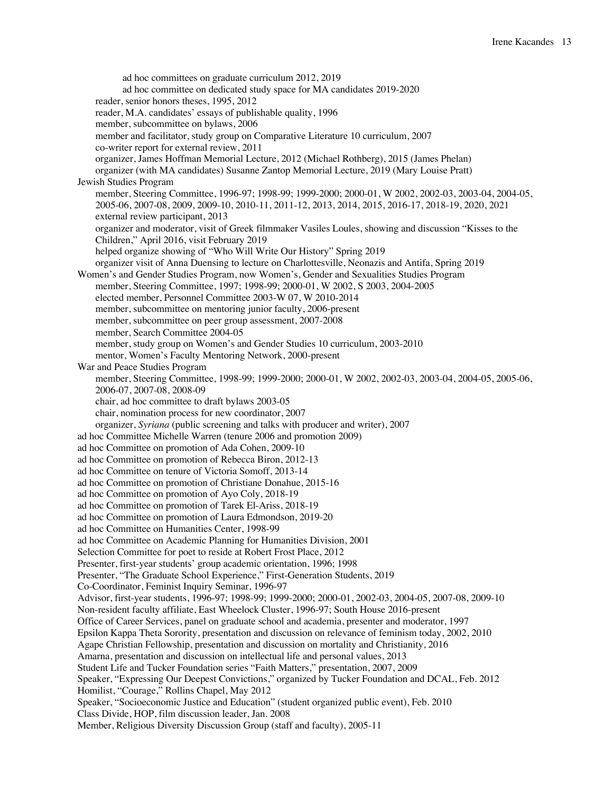ad hoc committees on graduate curriculum 2012, 2019 ad hoc committee on dedicated study space for MA candidates 2019-2020 reader, senior honors theses, 1995, 2012 reader, M.A. candidates' essays of publishable quality, 1996 member, subcommittee on bylaws, 2006 member and facilitator, study group on Comparative Literature 10 curriculum, 2007 co-writer report for external review, 2011 organizer, James Hoffman Memorial Lecture, 2012 (Michael Rothberg), 2015 (James Phelan) organizer (with MA candidates) Susanne Zantop Memorial Lecture, 2019 (Mary Louise Pratt) Jewish Studies Program member, Steering Committee, 1996-97; 1998-99; 1999-2000; 2000-01, W 2002, 2002-03, 2003-04, 2004-05, 2005-06, 2007-08, 2009, 2009-10, 2010-11, 2011-12, 2013, 2014, 2015, 2016-17, 2018-19, 2020, 2021 external review participant, 2013 organizer and moderator, visit of Greek filmmaker Vasiles Loules, showing and discussion "Kisses to the Children," April 2016, visit February 2019 helped organize showing of "Who Will Write Our History" Spring 2019 organizer visit of Anna Duensing to lecture on Charlottesville, Neonazis and Antifa, Spring 2019 Women's and Gender Studies Program, now Women's, Gender and Sexualities Studies Program member, Steering Committee, 1997; 1998-99; 2000-01, W 2002, S 2003, 2004-2005 elected member, Personnel Committee 2003-W 07, W 2010-2014 member, subcommittee on mentoring junior faculty, 2006-present member, subcommittee on peer group assessment, 2007-2008 member, Search Committee 2004-05 member, study group on Women's and Gender Studies 10 curriculum, 2003-2010 mentor, Women's Faculty Mentoring Network, 2000-present War and Peace Studies Program member, Steering Committee, 1998-99; 1999-2000; 2000-01, W 2002, 2002-03, 2003-04, 2004-05, 2005-06, 2006-07, 2007-08, 2008-09 chair, ad hoc committee to draft bylaws 2003-05 chair, nomination process for new coordinator, 2007 organizer, *Syriana* (public screening and talks with producer and writer), 2007 ad hoc Committee Michelle Warren (tenure 2006 and promotion 2009) ad hoc Committee on promotion of Ada Cohen, 2009-10 ad hoc Committee on promotion of Rebecca Biron, 2012-13 ad hoc Committee on tenure of Victoria Somoff, 2013-14 ad hoc Committee on promotion of Christiane Donahue, 2015-16 ad hoc Committee on promotion of Ayo Coly, 2018-19 ad hoc Committee on promotion of Tarek El-Ariss, 2018-19 ad hoc Committee on promotion of Laura Edmondson, 2019-20 ad hoc Committee on Humanities Center, 1998-99 ad hoc Committee on Academic Planning for Humanities Division, 2001 Selection Committee for poet to reside at Robert Frost Place, 2012 Presenter, first-year students' group academic orientation, 1996; 1998 Presenter, "The Graduate School Experience," First-Generation Students, 2019 Co-Coordinator, Feminist Inquiry Seminar, 1996-97 Advisor, first-year students, 1996-97; 1998-99; 1999-2000; 2000-01, 2002-03, 2004-05, 2007-08, 2009-10 Non-resident faculty affiliate, East Wheelock Cluster, 1996-97; South House 2016-present Office of Career Services, panel on graduate school and academia, presenter and moderator, 1997 Epsilon Kappa Theta Sorority, presentation and discussion on relevance of feminism today, 2002, 2010 Agape Christian Fellowship, presentation and discussion on mortality and Christianity, 2016 Amarna, presentation and discussion on intellectual life and personal values, 2013 Student Life and Tucker Foundation series "Faith Matters," presentation, 2007, 2009 Speaker, "Expressing Our Deepest Convictions," organized by Tucker Foundation and DCAL, Feb. 2012 Homilist, "Courage," Rollins Chapel, May 2012 Speaker, "Socioeconomic Justice and Education" (student organized public event), Feb. 2010 Class Divide, HOP, film discussion leader, Jan. 2008 Member, Religious Diversity Discussion Group (staff and faculty), 2005-11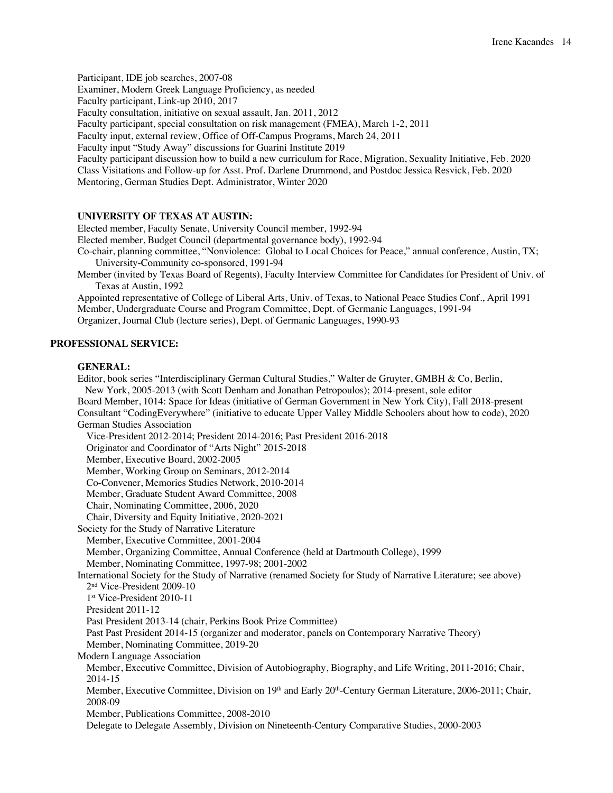Participant, IDE job searches, 2007-08

Examiner, Modern Greek Language Proficiency, as needed

Faculty participant, Link-up 2010, 2017

Faculty consultation, initiative on sexual assault, Jan. 2011, 2012

Faculty participant, special consultation on risk management (FMEA), March 1-2, 2011

Faculty input, external review, Office of Off-Campus Programs, March 24, 2011

Faculty input "Study Away" discussions for Guarini Institute 2019

Faculty participant discussion how to build a new curriculum for Race, Migration, Sexuality Initiative, Feb. 2020 Class Visitations and Follow-up for Asst. Prof. Darlene Drummond, and Postdoc Jessica Resvick, Feb. 2020 Mentoring, German Studies Dept. Administrator, Winter 2020

### **UNIVERSITY OF TEXAS AT AUSTIN:**

Elected member, Faculty Senate, University Council member, 1992-94

Elected member, Budget Council (departmental governance body), 1992-94

Co-chair, planning committee, "Nonviolence: Global to Local Choices for Peace," annual conference, Austin, TX; University-Community co-sponsored, 1991-94

Member (invited by Texas Board of Regents), Faculty Interview Committee for Candidates for President of Univ. of Texas at Austin, 1992

Appointed representative of College of Liberal Arts, Univ. of Texas, to National Peace Studies Conf., April 1991 Member, Undergraduate Course and Program Committee, Dept. of Germanic Languages, 1991-94 Organizer, Journal Club (lecture series), Dept. of Germanic Languages, 1990-93

#### **PROFESSIONAL SERVICE:**

#### **GENERAL:**

Editor, book series "Interdisciplinary German Cultural Studies," Walter de Gruyter, GMBH & Co, Berlin, New York, 2005-2013 (with Scott Denham and Jonathan Petropoulos); 2014-present, sole editor Board Member, 1014: Space for Ideas (initiative of German Government in New York City), Fall 2018-present Consultant "CodingEverywhere" (initiative to educate Upper Valley Middle Schoolers about how to code), 2020 German Studies Association Vice-President 2012-2014; President 2014-2016; Past President 2016-2018 Originator and Coordinator of "Arts Night" 2015-2018 Member, Executive Board, 2002-2005 Member, Working Group on Seminars, 2012-2014 Co-Convener, Memories Studies Network, 2010-2014 Member, Graduate Student Award Committee, 2008 Chair, Nominating Committee, 2006, 2020 Chair, Diversity and Equity Initiative, 2020-2021 Society for the Study of Narrative Literature Member, Executive Committee, 2001-2004 Member, Organizing Committee, Annual Conference (held at Dartmouth College), 1999 Member, Nominating Committee, 1997-98; 2001-2002 International Society for the Study of Narrative (renamed Society for Study of Narrative Literature; see above) 2nd Vice-President 2009-10 1st Vice-President 2010-11 President 2011-12 Past President 2013-14 (chair, Perkins Book Prize Committee) Past Past President 2014-15 (organizer and moderator, panels on Contemporary Narrative Theory) Member, Nominating Committee, 2019-20 Modern Language Association Member, Executive Committee, Division of Autobiography, Biography, and Life Writing, 2011-2016; Chair, 2014-15 Member, Executive Committee, Division on 19th and Early 20th-Century German Literature, 2006-2011; Chair, 2008-09 Member, Publications Committee, 2008-2010

Delegate to Delegate Assembly, Division on Nineteenth-Century Comparative Studies, 2000-2003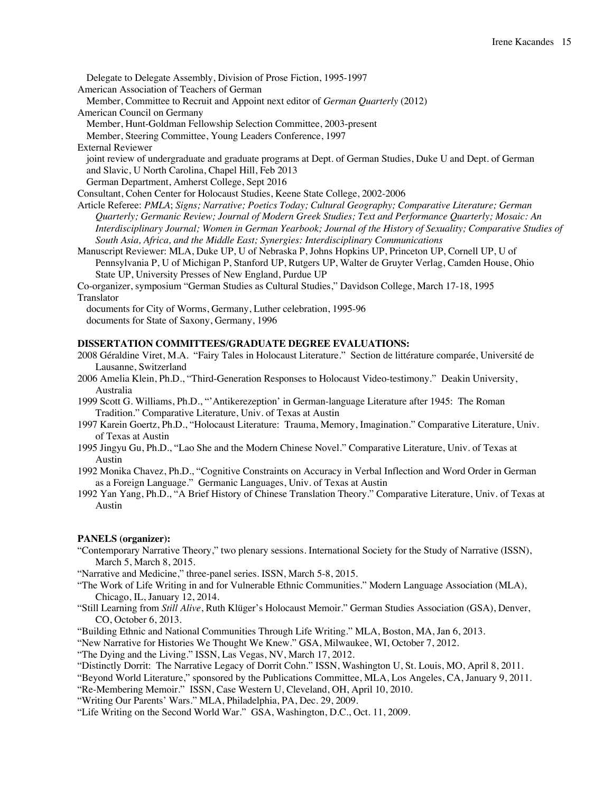Delegate to Delegate Assembly, Division of Prose Fiction, 1995-1997

American Association of Teachers of German

Member, Committee to Recruit and Appoint next editor of *German Quarterly* (2012) American Council on Germany

Member, Hunt-Goldman Fellowship Selection Committee, 2003-present

Member, Steering Committee, Young Leaders Conference, 1997

External Reviewer

joint review of undergraduate and graduate programs at Dept. of German Studies, Duke U and Dept. of German and Slavic, U North Carolina, Chapel Hill, Feb 2013

German Department, Amherst College, Sept 2016

Consultant, Cohen Center for Holocaust Studies, Keene State College, 2002-2006

Article Referee: *PMLA*; *Signs; Narrative; Poetics Today; Cultural Geography; Comparative Literature; German Quarterly; Germanic Review; Journal of Modern Greek Studies; Text and Performance Quarterly; Mosaic: An Interdisciplinary Journal; Women in German Yearbook; Journal of the History of Sexuality; Comparative Studies of South Asia, Africa, and the Middle East; Synergies: Interdisciplinary Communications*

Manuscript Reviewer: MLA, Duke UP, U of Nebraska P, Johns Hopkins UP, Princeton UP, Cornell UP, U of Pennsylvania P, U of Michigan P, Stanford UP, Rutgers UP, Walter de Gruyter Verlag, Camden House, Ohio State UP, University Presses of New England, Purdue UP

Co-organizer, symposium "German Studies as Cultural Studies," Davidson College, March 17-18, 1995 Translator

documents for City of Worms, Germany, Luther celebration, 1995-96 documents for State of Saxony, Germany, 1996

# **DISSERTATION COMMITTEES/GRADUATE DEGREE EVALUATIONS:**

2008 Géraldine Viret, M.A. "Fairy Tales in Holocaust Literature." Section de littérature comparée, Université de Lausanne, Switzerland

- 2006 Amelia Klein, Ph.D., "Third-Generation Responses to Holocaust Video-testimony." Deakin University, Australia
- 1999 Scott G. Williams, Ph.D., "'Antikerezeption' in German-language Literature after 1945: The Roman Tradition." Comparative Literature, Univ. of Texas at Austin
- 1997 Karein Goertz, Ph.D., "Holocaust Literature: Trauma, Memory, Imagination." Comparative Literature, Univ. of Texas at Austin
- 1995 Jingyu Gu, Ph.D., "Lao She and the Modern Chinese Novel." Comparative Literature, Univ. of Texas at Austin
- 1992 Monika Chavez, Ph.D., "Cognitive Constraints on Accuracy in Verbal Inflection and Word Order in German as a Foreign Language." Germanic Languages, Univ. of Texas at Austin
- 1992 Yan Yang, Ph.D., "A Brief History of Chinese Translation Theory." Comparative Literature, Univ. of Texas at Austin

# **PANELS (organizer):**

"Contemporary Narrative Theory," two plenary sessions. International Society for the Study of Narrative (ISSN), March 5, March 8, 2015.

"Narrative and Medicine," three-panel series. ISSN, March 5-8, 2015.

- "The Work of Life Writing in and for Vulnerable Ethnic Communities." Modern Language Association (MLA), Chicago, IL, January 12, 2014.
- "Still Learning from *Still Alive*, Ruth Klüger's Holocaust Memoir." German Studies Association (GSA), Denver, CO, October 6, 2013.

"Building Ethnic and National Communities Through Life Writing." MLA, Boston, MA, Jan 6, 2013.

"New Narrative for Histories We Thought We Knew." GSA, Milwaukee, WI, October 7, 2012.

"The Dying and the Living." ISSN, Las Vegas, NV, March 17, 2012.

"Distinctly Dorrit: The Narrative Legacy of Dorrit Cohn." ISSN, Washington U, St. Louis, MO, April 8, 2011.

"Beyond World Literature," sponsored by the Publications Committee, MLA, Los Angeles, CA, January 9, 2011.

"Re-Membering Memoir." ISSN, Case Western U, Cleveland, OH, April 10, 2010.

"Writing Our Parents' Wars." MLA, Philadelphia, PA, Dec. 29, 2009.

"Life Writing on the Second World War." GSA, Washington, D.C., Oct. 11, 2009.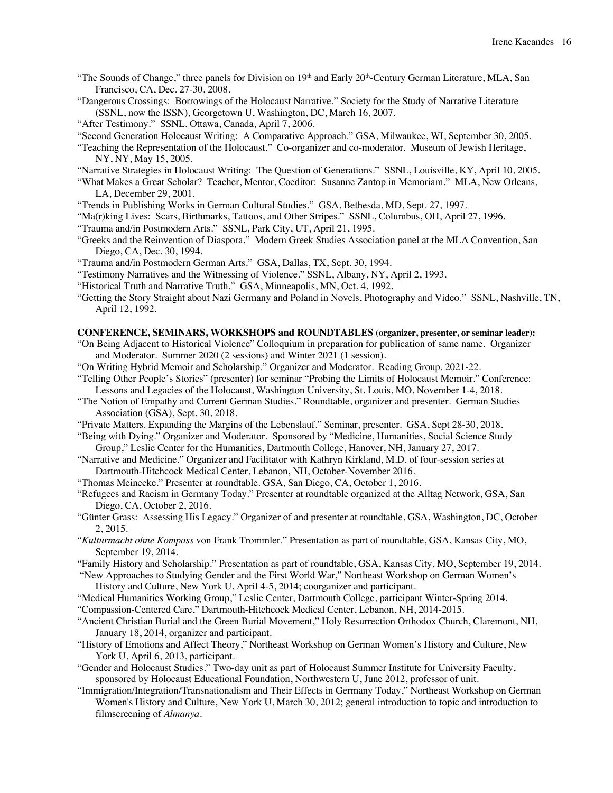- "The Sounds of Change," three panels for Division on 19th and Early 20th-Century German Literature, MLA, San Francisco, CA, Dec. 27-30, 2008.
- "Dangerous Crossings: Borrowings of the Holocaust Narrative." Society for the Study of Narrative Literature (SSNL, now the ISSN), Georgetown U, Washington, DC, March 16, 2007.
- "After Testimony." SSNL, Ottawa, Canada, April 7, 2006.
- "Second Generation Holocaust Writing: A Comparative Approach." GSA, Milwaukee, WI, September 30, 2005.
- "Teaching the Representation of the Holocaust." Co-organizer and co-moderator. Museum of Jewish Heritage, NY, NY, May 15, 2005.
- "Narrative Strategies in Holocaust Writing: The Question of Generations." SSNL, Louisville, KY, April 10, 2005.
- "What Makes a Great Scholar? Teacher, Mentor, Coeditor: Susanne Zantop in Memoriam." MLA, New Orleans, LA, December 29, 2001.
- "Trends in Publishing Works in German Cultural Studies." GSA, Bethesda, MD, Sept. 27, 1997.
- "Ma(r)king Lives: Scars, Birthmarks, Tattoos, and Other Stripes." SSNL, Columbus, OH, April 27, 1996.
- "Trauma and/in Postmodern Arts." SSNL, Park City, UT, April 21, 1995.
- "Greeks and the Reinvention of Diaspora." Modern Greek Studies Association panel at the MLA Convention, San Diego, CA, Dec. 30, 1994.
- "Trauma and/in Postmodern German Arts." GSA, Dallas, TX, Sept. 30, 1994.
- "Testimony Narratives and the Witnessing of Violence." SSNL, Albany, NY, April 2, 1993.
- "Historical Truth and Narrative Truth." GSA, Minneapolis, MN, Oct. 4, 1992.
- "Getting the Story Straight about Nazi Germany and Poland in Novels, Photography and Video." SSNL, Nashville, TN, April 12, 1992.

# **CONFERENCE, SEMINARS, WORKSHOPS and ROUNDTABLES (organizer, presenter, or seminar leader):**

- "On Being Adjacent to Historical Violence" Colloquium in preparation for publication of same name. Organizer and Moderator. Summer 2020 (2 sessions) and Winter 2021 (1 session).
- "On Writing Hybrid Memoir and Scholarship." Organizer and Moderator. Reading Group. 2021-22.
- "Telling Other People's Stories" (presenter) for seminar "Probing the Limits of Holocaust Memoir." Conference: Lessons and Legacies of the Holocaust, Washington University, St. Louis, MO, November 1-4, 2018.
- "The Notion of Empathy and Current German Studies." Roundtable, organizer and presenter. German Studies Association (GSA), Sept. 30, 2018.
- "Private Matters. Expanding the Margins of the Lebenslauf." Seminar, presenter. GSA, Sept 28-30, 2018.
- "Being with Dying." Organizer and Moderator. Sponsored by "Medicine, Humanities, Social Science Study Group," Leslie Center for the Humanities, Dartmouth College, Hanover, NH, January 27, 2017.
- "Narrative and Medicine." Organizer and Facilitator with Kathryn Kirkland, M.D. of four-session series at Dartmouth-Hitchcock Medical Center, Lebanon, NH, October-November 2016.
- "Thomas Meinecke." Presenter at roundtable. GSA, San Diego, CA, October 1, 2016.
- "Refugees and Racism in Germany Today." Presenter at roundtable organized at the Alltag Network, GSA, San Diego, CA, October 2, 2016.
- "Günter Grass: Assessing His Legacy." Organizer of and presenter at roundtable, GSA, Washington, DC, October 2, 2015.
- "*Kulturmacht ohne Kompass* von Frank Trommler." Presentation as part of roundtable, GSA, Kansas City, MO, September 19, 2014.
- "Family History and Scholarship." Presentation as part of roundtable, GSA, Kansas City, MO, September 19, 2014. "New Approaches to Studying Gender and the First World War," Northeast Workshop on German Women's

History and Culture, New York U, April 4-5, 2014; coorganizer and participant.

- "Medical Humanities Working Group," Leslie Center, Dartmouth College, participant Winter-Spring 2014.
- "Compassion-Centered Care," Dartmouth-Hitchcock Medical Center, Lebanon, NH, 2014-2015.
- "Ancient Christian Burial and the Green Burial Movement," Holy Resurrection Orthodox Church, Claremont, NH, January 18, 2014, organizer and participant.
- "History of Emotions and Affect Theory," Northeast Workshop on German Women's History and Culture, New York U, April 6, 2013, participant.
- "Gender and Holocaust Studies." Two-day unit as part of Holocaust Summer Institute for University Faculty, sponsored by Holocaust Educational Foundation, Northwestern U, June 2012, professor of unit.
- "Immigration/Integration/Transnationalism and Their Effects in Germany Today," Northeast Workshop on German Women's History and Culture, New York U, March 30, 2012; general introduction to topic and introduction to filmscreening of *Almanya*.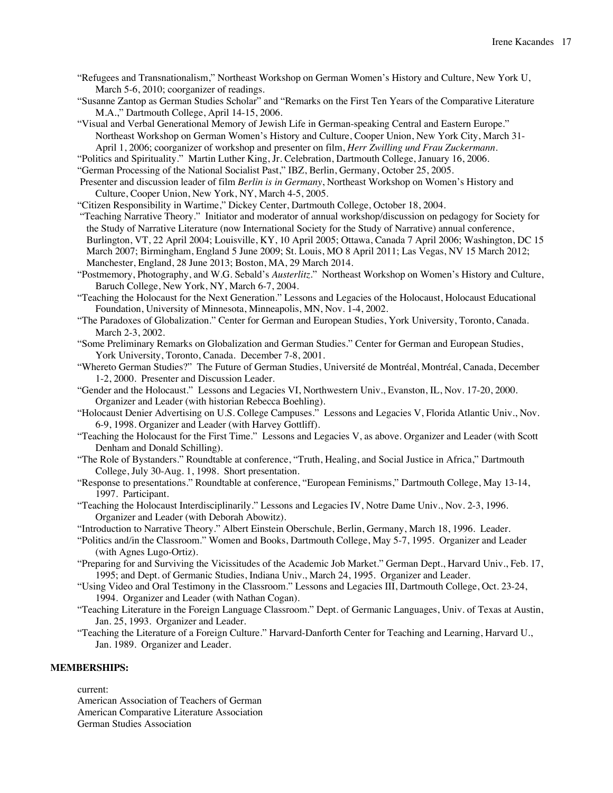- "Refugees and Transnationalism," Northeast Workshop on German Women's History and Culture, New York U, March 5-6, 2010; coorganizer of readings.
- "Susanne Zantop as German Studies Scholar" and "Remarks on the First Ten Years of the Comparative Literature M.A.," Dartmouth College, April 14-15, 2006.

"Visual and Verbal Generational Memory of Jewish Life in German-speaking Central and Eastern Europe." Northeast Workshop on German Women's History and Culture, Cooper Union, New York City, March 31- April 1, 2006; coorganizer of workshop and presenter on film, *Herr Zwilling und Frau Zuckermann*.

"Politics and Spirituality." Martin Luther King, Jr. Celebration, Dartmouth College, January 16, 2006.

"German Processing of the National Socialist Past," IBZ, Berlin, Germany, October 25, 2005.

Presenter and discussion leader of film *Berlin is in Germany*, Northeast Workshop on Women's History and Culture, Cooper Union, New York, NY, March 4-5, 2005.

"Citizen Responsibility in Wartime," Dickey Center, Dartmouth College, October 18, 2004.

"Teaching Narrative Theory." Initiator and moderator of annual workshop/discussion on pedagogy for Society for the Study of Narrative Literature (now International Society for the Study of Narrative) annual conference, Burlington, VT, 22 April 2004; Louisville, KY, 10 April 2005; Ottawa, Canada 7 April 2006; Washington, DC 15 March 2007; Birmingham, England 5 June 2009; St. Louis, MO 8 April 2011; Las Vegas, NV 15 March 2012; Manchester, England, 28 June 2013; Boston, MA, 29 March 2014.

"Postmemory, Photography, and W.G. Sebald's *Austerlitz*." Northeast Workshop on Women's History and Culture, Baruch College, New York, NY, March 6-7, 2004.

"Teaching the Holocaust for the Next Generation." Lessons and Legacies of the Holocaust, Holocaust Educational Foundation, University of Minnesota, Minneapolis, MN, Nov. 1-4, 2002.

- "The Paradoxes of Globalization." Center for German and European Studies, York University, Toronto, Canada. March 2-3, 2002.
- "Some Preliminary Remarks on Globalization and German Studies." Center for German and European Studies, York University, Toronto, Canada. December 7-8, 2001.

"Whereto German Studies?" The Future of German Studies, Université de Montréal, Montréal, Canada, December 1-2, 2000. Presenter and Discussion Leader.

"Gender and the Holocaust." Lessons and Legacies VI, Northwestern Univ., Evanston, IL, Nov. 17-20, 2000. Organizer and Leader (with historian Rebecca Boehling).

"Holocaust Denier Advertising on U.S. College Campuses." Lessons and Legacies V, Florida Atlantic Univ., Nov. 6-9, 1998. Organizer and Leader (with Harvey Gottliff).

"Teaching the Holocaust for the First Time." Lessons and Legacies V, as above. Organizer and Leader (with Scott Denham and Donald Schilling).

"The Role of Bystanders." Roundtable at conference, "Truth, Healing, and Social Justice in Africa," Dartmouth College, July 30-Aug. 1, 1998. Short presentation.

- "Response to presentations." Roundtable at conference, "European Feminisms," Dartmouth College, May 13-14, 1997. Participant.
- "Teaching the Holocaust Interdisciplinarily." Lessons and Legacies IV, Notre Dame Univ., Nov. 2-3, 1996. Organizer and Leader (with Deborah Abowitz).
- "Introduction to Narrative Theory." Albert Einstein Oberschule, Berlin, Germany, March 18, 1996. Leader.
- "Politics and/in the Classroom." Women and Books, Dartmouth College, May 5-7, 1995. Organizer and Leader (with Agnes Lugo-Ortiz).
- "Preparing for and Surviving the Vicissitudes of the Academic Job Market." German Dept., Harvard Univ., Feb. 17, 1995; and Dept. of Germanic Studies, Indiana Univ., March 24, 1995. Organizer and Leader.
- "Using Video and Oral Testimony in the Classroom." Lessons and Legacies III, Dartmouth College, Oct. 23-24, 1994. Organizer and Leader (with Nathan Cogan).
- "Teaching Literature in the Foreign Language Classroom." Dept. of Germanic Languages, Univ. of Texas at Austin, Jan. 25, 1993. Organizer and Leader.
- "Teaching the Literature of a Foreign Culture." Harvard-Danforth Center for Teaching and Learning, Harvard U., Jan. 1989. Organizer and Leader.

# **MEMBERSHIPS:**

current:

American Association of Teachers of German American Comparative Literature Association German Studies Association